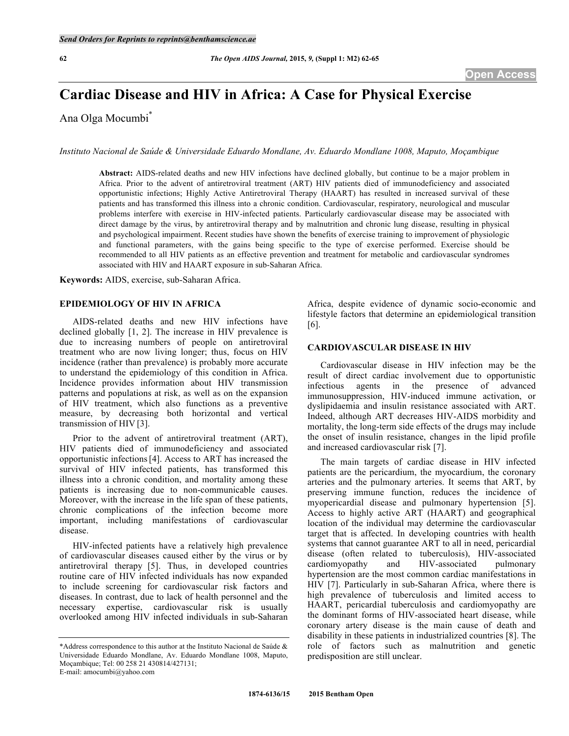# **Cardiac Disease and HIV in Africa: A Case for Physical Exercise**

Ana Olga Mocumbi\*

*Instituto Nacional de Saúde & Universidade Eduardo Mondlane, Av. Eduardo Mondlane 1008, Maputo, Moçambique*

**Abstract:** AIDS-related deaths and new HIV infections have declined globally, but continue to be a major problem in Africa. Prior to the advent of antiretroviral treatment (ART) HIV patients died of immunodeficiency and associated opportunistic infections; Highly Active Antiretroviral Therapy (HAART) has resulted in increased survival of these patients and has transformed this illness into a chronic condition. Cardiovascular, respiratory, neurological and muscular problems interfere with exercise in HIV-infected patients. Particularly cardiovascular disease may be associated with direct damage by the virus, by antiretroviral therapy and by malnutrition and chronic lung disease, resulting in physical and psychological impairment. Recent studies have shown the benefits of exercise training to improvement of physiologic and functional parameters, with the gains being specific to the type of exercise performed. Exercise should be recommended to all HIV patients as an effective prevention and treatment for metabolic and cardiovascular syndromes associated with HIV and HAART exposure in sub-Saharan Africa.

**Keywords:** AIDS, exercise, sub-Saharan Africa.

# **EPIDEMIOLOGY OF HIV IN AFRICA**

AIDS-related deaths and new HIV infections have declined globally [1, 2]. The increase in HIV prevalence is due to increasing numbers of people on antiretroviral treatment who are now living longer; thus, focus on HIV incidence (rather than prevalence) is probably more accurate to understand the epidemiology of this condition in Africa. Incidence provides information about HIV transmission patterns and populations at risk, as well as on the expansion of HIV treatment, which also functions as a preventive measure, by decreasing both horizontal and vertical transmission of HIV [3].

Prior to the advent of antiretroviral treatment (ART), HIV patients died of immunodeficiency and associated opportunistic infections[4]. Access to ART has increased the survival of HIV infected patients, has transformed this illness into a chronic condition, and mortality among these patients is increasing due to non-communicable causes. Moreover, with the increase in the life span of these patients, chronic complications of the infection become more important, including manifestations of cardiovascular disease.

HIV-infected patients have a relatively high prevalence of cardiovascular diseases caused either by the virus or by antiretroviral therapy [5]. Thus, in developed countries routine care of HIV infected individuals has now expanded to include screening for cardiovascular risk factors and diseases. In contrast, due to lack of health personnel and the necessary expertise, cardiovascular risk is usually overlooked among HIV infected individuals in sub-Saharan Africa, despite evidence of dynamic socio-economic and lifestyle factors that determine an epidemiological transition  $[6]$ .

# **CARDIOVASCULAR DISEASE IN HIV**

Cardiovascular disease in HIV infection may be the result of direct cardiac involvement due to opportunistic infectious agents in the presence of advanced immunosuppression, HIV-induced immune activation, or dyslipidaemia and insulin resistance associated with ART. Indeed, although ART decreases HIV-AIDS morbidity and mortality, the long-term side effects of the drugs may include the onset of insulin resistance, changes in the lipid profile and increased cardiovascular risk [7].

The main targets of cardiac disease in HIV infected patients are the pericardium, the myocardium, the coronary arteries and the pulmonary arteries. It seems that ART, by preserving immune function, reduces the incidence of myopericardial disease and pulmonary hypertension [5]. Access to highly active ART (HAART) and geographical location of the individual may determine the cardiovascular target that is affected. In developing countries with health systems that cannot guarantee ART to all in need, pericardial disease (often related to tuberculosis), HIV-associated cardiomyopathy and HIV-associated pulmonary hypertension are the most common cardiac manifestations in HIV [7]. Particularly in sub-Saharan Africa, where there is high prevalence of tuberculosis and limited access to HAART, pericardial tuberculosis and cardiomyopathy are the dominant forms of HIV-associated heart disease, while coronary artery disease is the main cause of death and disability in these patients in industrialized countries [8]. The role of factors such as malnutrition and genetic predisposition are still unclear.

<sup>\*</sup>Address correspondence to this author at the Instituto Nacional de Saúde & Universidade Eduardo Mondlane, Av. Eduardo Mondlane 1008, Maputo, Moçambique; Tel: 00 258 21 430814/427131; E-mail: amocumbi@yahoo.com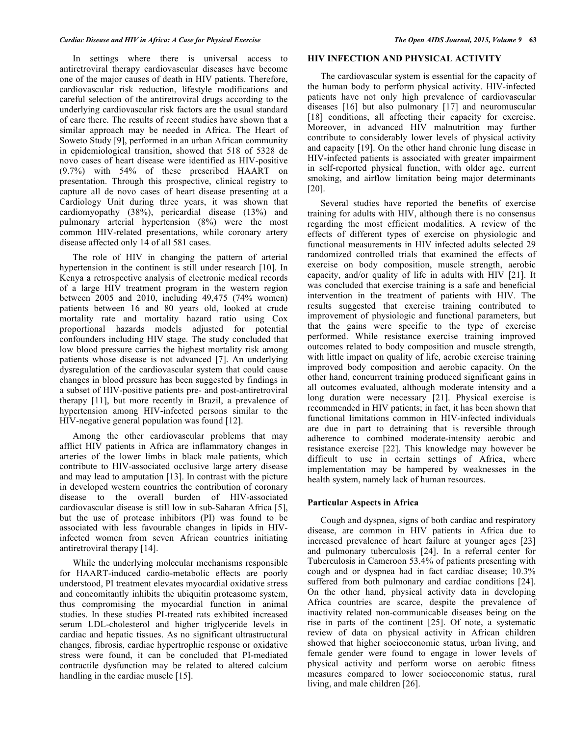In settings where there is universal access to antiretroviral therapy cardiovascular diseases have become one of the major causes of death in HIV patients. Therefore, cardiovascular risk reduction, lifestyle modifications and careful selection of the antiretroviral drugs according to the underlying cardiovascular risk factors are the usual standard of care there. The results of recent studies have shown that a similar approach may be needed in Africa. The Heart of Soweto Study [9], performed in an urban African community in epidemiological transition, showed that 518 of 5328 de novo cases of heart disease were identified as HIV-positive (9.7%) with 54% of these prescribed HAART on presentation. Through this prospective, clinical registry to capture all de novo cases of heart disease presenting at a Cardiology Unit during three years, it was shown that cardiomyopathy (38%), pericardial disease (13%) and pulmonary arterial hypertension (8%) were the most common HIV-related presentations, while coronary artery disease affected only 14 of all 581 cases.

The role of HIV in changing the pattern of arterial hypertension in the continent is still under research [10]. In Kenya a retrospective analysis of electronic medical records of a large HIV treatment program in the western region between 2005 and 2010, including 49,475 (74% women) patients between 16 and 80 years old, looked at crude mortality rate and mortality hazard ratio using Cox proportional hazards models adjusted for potential confounders including HIV stage. The study concluded that low blood pressure carries the highest mortality risk among patients whose disease is not advanced [7]. An underlying dysregulation of the cardiovascular system that could cause changes in blood pressure has been suggested by findings in a subset of HIV-positive patients pre- and post-antiretroviral therapy [11], but more recently in Brazil, a prevalence of hypertension among HIV-infected persons similar to the HIV-negative general population was found [12].

Among the other cardiovascular problems that may afflict HIV patients in Africa are inflammatory changes in arteries of the lower limbs in black male patients, which contribute to HIV-associated occlusive large artery disease and may lead to amputation [13]. In contrast with the picture in developed western countries the contribution of coronary disease to the overall burden of HIV-associated cardiovascular disease is still low in sub-Saharan Africa [5], but the use of protease inhibitors (PI) was found to be associated with less favourable changes in lipids in HIVinfected women from seven African countries initiating antiretroviral therapy [14].

While the underlying molecular mechanisms responsible for HAART-induced cardio-metabolic effects are poorly understood, PI treatment elevates myocardial oxidative stress and concomitantly inhibits the ubiquitin proteasome system, thus compromising the myocardial function in animal studies. In these studies PI-treated rats exhibited increased serum LDL-cholesterol and higher triglyceride levels in cardiac and hepatic tissues. As no significant ultrastructural changes, fibrosis, cardiac hypertrophic response or oxidative stress were found, it can be concluded that PI-mediated contractile dysfunction may be related to altered calcium handling in the cardiac muscle [15].

#### **HIV INFECTION AND PHYSICAL ACTIVITY**

The cardiovascular system is essential for the capacity of the human body to perform physical activity. HIV-infected patients have not only high prevalence of cardiovascular diseases [16] but also pulmonary [17] and neuromuscular [18] conditions, all affecting their capacity for exercise. Moreover, in advanced HIV malnutrition may further contribute to considerably lower levels of physical activity and capacity [19]. On the other hand chronic lung disease in HIV-infected patients is associated with greater impairment in self-reported physical function, with older age, current smoking, and airflow limitation being major determinants [20].

Several studies have reported the benefits of exercise training for adults with HIV, although there is no consensus regarding the most efficient modalities. A review of the effects of different types of exercise on physiologic and functional measurements in HIV infected adults selected 29 randomized controlled trials that examined the effects of exercise on body composition, muscle strength, aerobic capacity, and/or quality of life in adults with HIV [21]. It was concluded that exercise training is a safe and beneficial intervention in the treatment of patients with HIV. The results suggested that exercise training contributed to improvement of physiologic and functional parameters, but that the gains were specific to the type of exercise performed. While resistance exercise training improved outcomes related to body composition and muscle strength, with little impact on quality of life, aerobic exercise training improved body composition and aerobic capacity. On the other hand, concurrent training produced significant gains in all outcomes evaluated, although moderate intensity and a long duration were necessary [21]. Physical exercise is recommended in HIV patients; in fact, it has been shown that functional limitations common in HIV-infected individuals are due in part to detraining that is reversible through adherence to combined moderate-intensity aerobic and resistance exercise [22]. This knowledge may however be difficult to use in certain settings of Africa, where implementation may be hampered by weaknesses in the health system, namely lack of human resources.

#### **Particular Aspects in Africa**

Cough and dyspnea, signs of both cardiac and respiratory disease, are common in HIV patients in Africa due to increased prevalence of heart failure at younger ages [23] and pulmonary tuberculosis [24]. In a referral center for Tuberculosis in Cameroon 53.4% of patients presenting with cough and or dyspnea had in fact cardiac disease; 10.3% suffered from both pulmonary and cardiac conditions [24]. On the other hand, physical activity data in developing Africa countries are scarce, despite the prevalence of inactivity related non-communicable diseases being on the rise in parts of the continent [25]. Of note, a systematic review of data on physical activity in African children showed that higher socioeconomic status, urban living, and female gender were found to engage in lower levels of physical activity and perform worse on aerobic fitness measures compared to lower socioeconomic status, rural living, and male children [26].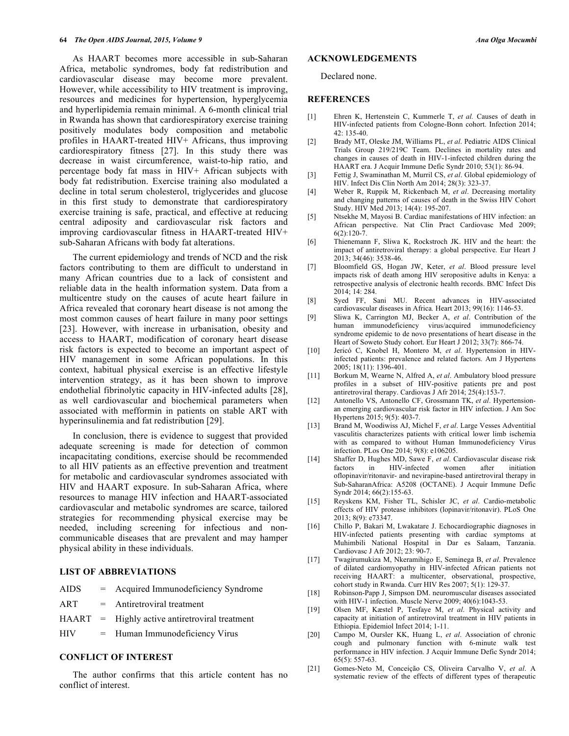As HAART becomes more accessible in sub-Saharan Africa, metabolic syndromes, body fat redistribution and cardiovascular disease may become more prevalent. However, while accessibility to HIV treatment is improving, resources and medicines for hypertension, hyperglycemia and hyperlipidemia remain minimal. A 6-month clinical trial in Rwanda has shown that cardiorespiratory exercise training positively modulates body composition and metabolic profiles in HAART-treated HIV+ Africans, thus improving cardiorespiratory fitness [27]. In this study there was decrease in waist circumference, waist-to-hip ratio, and percentage body fat mass in HIV+ African subjects with body fat redistribution. Exercise training also modulated a decline in total serum cholesterol, triglycerides and glucose in this first study to demonstrate that cardiorespiratory exercise training is safe, practical, and effective at reducing central adiposity and cardiovascular risk factors and improving cardiovascular fitness in HAART-treated HIV+ sub-Saharan Africans with body fat alterations.

The current epidemiology and trends of NCD and the risk factors contributing to them are difficult to understand in many African countries due to a lack of consistent and reliable data in the health information system. Data from a multicentre study on the causes of acute heart failure in Africa revealed that coronary heart disease is not among the most common causes of heart failure in many poor settings [23]. However, with increase in urbanisation, obesity and access to HAART, modification of coronary heart disease risk factors is expected to become an important aspect of HIV management in some African populations. In this context, habitual physical exercise is an effective lifestyle intervention strategy, as it has been shown to improve endothelial fibrinolytic capacity in HIV-infected adults [28], as well cardiovascular and biochemical parameters when associated with mefformin in patients on stable ART with hyperinsulinemia and fat redistribution [29].

In conclusion, there is evidence to suggest that provided adequate screening is made for detection of common incapacitating conditions, exercise should be recommended to all HIV patients as an effective prevention and treatment for metabolic and cardiovascular syndromes associated with HIV and HAART exposure. In sub-Saharan Africa, where resources to manage HIV infection and HAART-associated cardiovascular and metabolic syndromes are scarce, tailored strategies for recommending physical exercise may be needed, including screening for infectious and noncommunicable diseases that are prevalent and may hamper physical ability in these individuals.

## **LIST OF ABBREVIATIONS**

| <b>AIDS</b> |  | Acquired Immunodeficiency Syndrome |  |  |
|-------------|--|------------------------------------|--|--|
|-------------|--|------------------------------------|--|--|

- ART = Antiretroviral treatment
- HAART = Highly active antiretroviral treatment
- HIV = Human Immunodeficiency Virus

#### **CONFLICT OF INTEREST**

The author confirms that this article content has no conflict of interest.

# **ACKNOWLEDGEMENTS**

Declared none.

#### **REFERENCES**

- [1] Ehren K, Hertenstein C, Kummerle T, *et al.* Causes of death in HIV-infected patients from Cologne-Bonn cohort. Infection 2014;  $42 \cdot 135 - 40$
- [2] Brady MT, Oleske JM, Williams PL, *et al*. Pediatric AIDS Clinical Trials Group 219/219C Team. Declines in mortality rates and changes in causes of death in HIV-1-infected children during the HAART era. J Acquir Immune Defic Syndr 2010; 53(1): 86-94.
- [3] Fettig J, Swaminathan M, Murril CS, *et al*. Global epidemiology of HIV. Infect Dis Clin North Am 2014; 28(3): 323-37.
- [4] Weber R, Ruppik M, Rickenbach M, *et al*. Decreasing mortality and changing patterns of causes of death in the Swiss HIV Cohort Study. HIV Med *2*013; 14(4): 195-207.
- [5] Ntsekhe M, Mayosi B. Cardiac manifestations of HIV infection: an African perspective. Nat Clin Pract Cardiovasc Med 2009;  $6(2)$ :120-7
- [6] Thienemann F, Sliwa K, Rockstroch JK. HIV and the heart: the impact of antiretroviral therapy: a global perspective. Eur Heart J 2013; 34(46): 3538-46.
- [7] Bloomfield GS, Hogan JW, Keter, *et al*. Blood pressure level impacts risk of death among HIV seropositive adults in Kenya: a retrospective analysis of electronic health records. BMC Infect Dis 2014; 14: 284.
- [8] Syed FF, Sani MU. Recent advances in HIV-associated cardiovascular diseases in Africa*.* Heart 2013; 99(16): 1146-53.
- [9] Sliwa K, Carrington MJ, Becker A, *et al*. Contribution of the human immunodeficiency virus/acquired immunodeficiency syndrome epidemic to de novo presentations of heart disease in the Heart of Soweto Study cohort. Eur Heart J 2012; 33(7): 866-74.
- [10] Jericó C, Knobel H, Montero M, *et al*. Hypertension in HIVinfected patients: prevalence and related factors. Am J Hypertens 2005; 18(11): 1396-401.
- [11] Borkum M, Wearne N, Alfred A, *et al*. Ambulatory blood pressure profiles in a subset of HIV-positive patients pre and post antiretroviral therapy. Cardiovas  $\overline{J}$  Afr 2014; 25(4):153-7.
- [12] Antonello VS, Antonello CF, Grossmann TK, *et al*. Hypertensionan emerging cardiovascular risk factor in HIV infection. J Am Soc Hypertens 2015; 9(5): 403-7.
- [13] Brand M, Woodiwiss AJ, Michel F, *et al*. Large Vesses Adventitial vasculitis characterizes patients with critical lower limb ischemia with as compared to without Human Immunodeficiency Virus infection. PLos One 2014; 9(8): e106205.
- [14] Shaffer D, Hughes MD, Sawe F, *et al*. Cardiovascular disease risk factors in HIV-infected women after initiation oflopinavir/ritonavir- and nevirapine-based antiretroviral therapy in Sub-SaharanAfrica: A5208 (OCTANE). J Acquir Immune Defic Syndr 2014; 66(2):155-63.
- [15] Reyskens KM, Fisher TL, Schisler JC, *et al*. Cardio-metabolic effects of HIV protease inhibitors (lopinavir/ritonavir). PLoS One 2013; 8(9): e73347.
- [16] Chillo P, Bakari M, Lwakatare J. Echocardiographic diagnoses in HIV-infected patients presenting with cardiac symptoms at Muhimbili National Hospital in Dar es Salaam, Tanzania. Cardiovasc J Afr 2012; 23: 90-7.
- [17] Twagirumukiza M, Nkeramihigo E, Seminega B, *et al*. Prevalence of dilated cardiomyopathy in HIV-infected African patients not receiving HAART: a multicenter, observational, prospective, cohort study in Rwanda. Curr HIV Res 2007; 5(1): 129-37.
- [18] Robinson-Papp J, Simpson DM. neuromuscular diseases associated with HIV-1 infection. Muscle Nerve 2009; 40(6):1043-53.
- [19] Olsen MF, Kæstel P, Tesfaye M, *et al*. Physical activity and capacity at initiation of antiretroviral treatment in HIV patients in Ethiopia. Epidemiol Infect 2014; 1-11.
- [20] Campo M, Oursler KK, Huang L, *et al*. Association of chronic cough and pulmonary function with 6-minute walk test performance in HIV infection. J Acquir Immune Defic Syndr 2014;  $65(5)$ : 557-63.
- [21] Gomes-Neto M, Conceição CS, Oliveira Carvalho V, *et al*. A systematic review of the effects of different types of therapeutic